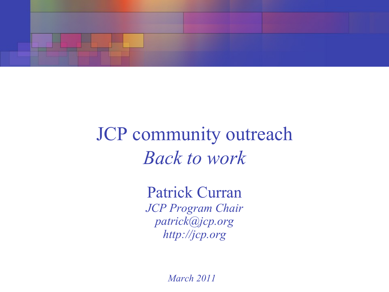

## JCP community outreach *Back to work*

Patrick Curran *JCP Program Chair [patrick@jcp.org](mailto:patrick@jcp.org) http://jcp.org*

*March 2011*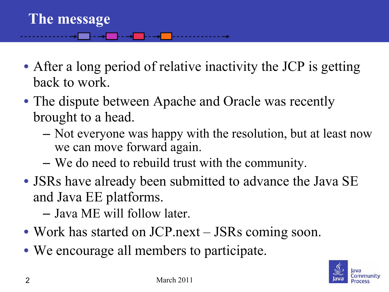- After a long period of relative inactivity the JCP is getting back to work.
- The dispute between Apache and Oracle was recently brought to a head.
	- Not everyone was happy with the resolution, but at least now we can move forward again.
	- We do need to rebuild trust with the community.
- JSRs have already been submitted to advance the Java SE and Java EE platforms.
	- Java ME will follow later.
- Work has started on JCP.next JSRs coming soon.
- We encourage all members to participate.

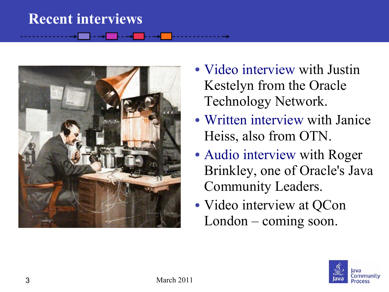## **Recent interviews**



- [Video interview](http://medianetwork.oracle.com/media/show/16303) with Justin Kestelyn from the Oracle Technology Network.
- [Written interview](http://www.oracle.com/technetwork/java/patrickcurraninterview11-323983.html) with Janice Heiss, also from OTN.
- [Audio interview](http://blogs.sun.com/javaspotlight/entry/java_spotlight_episode_19_patrick) with Roger Brinkley, one of Oracle's Java Community Leaders.
- Video interview at QCon London – coming soon.

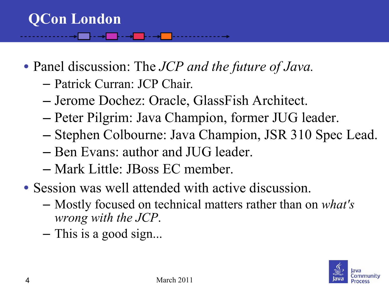- Panel discussion: The *JCP and the future of Java.*
	- Patrick Curran: JCP Chair*.*
	- Jerome Dochez: Oracle, GlassFish Architect.
	- Peter Pilgrim: Java Champion, former JUG leader.
	- Stephen Colbourne: Java Champion, JSR 310 Spec Lead.
	- Ben Evans: author and JUG leader.
	- Mark Little: JBoss EC member.
- Session was well attended with active discussion.
	- Mostly focused on technical matters rather than on *what's wrong with the JCP*.
	- This is a good sign...